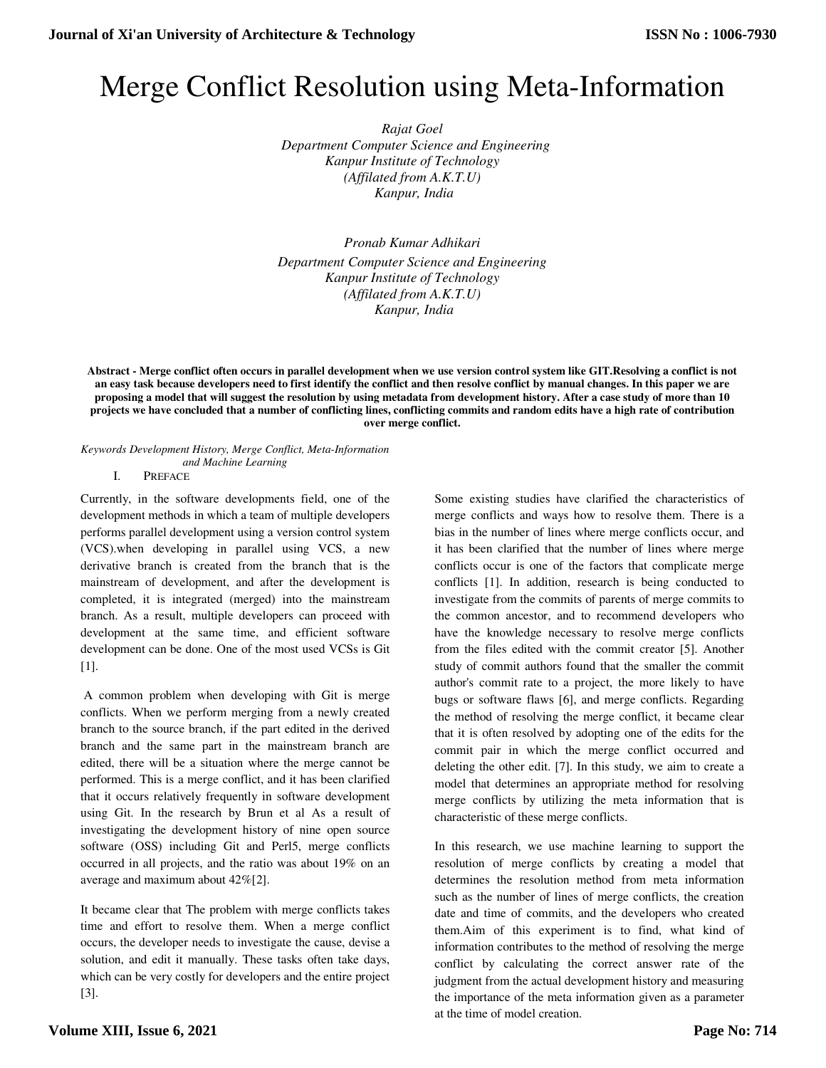# Merge Conflict Resolution using Meta-Information

*Rajat Goel Department Computer Science and Engineering Kanpur Institute of Technology (Affilated from A.K.T.U) Kanpur, India* 

*Pronab Kumar Adhikari Department Computer Science and Engineering Kanpur Institute of Technology (Affilated from A.K.T.U) Kanpur, India* 

**Abstract - Merge conflict often occurs in parallel development when we use version control system like GIT.Resolving a conflict is not an easy task because developers need to first identify the conflict and then resolve conflict by manual changes. In this paper we are proposing a model that will suggest the resolution by using metadata from development history. After a case study of more than 10 projects we have concluded that a number of conflicting lines, conflicting commits and random edits have a high rate of contribution over merge conflict.**

*Keywords Development History, Merge Conflict, Meta-Information and Machine Learning* 

I. PREFACE

Currently, in the software developments field, one of the development methods in which a team of multiple developers performs parallel development using a version control system (VCS).when developing in parallel using VCS, a new derivative branch is created from the branch that is the mainstream of development, and after the development is completed, it is integrated (merged) into the mainstream branch. As a result, multiple developers can proceed with development at the same time, and efficient software development can be done. One of the most used VCSs is Git [1].

 A common problem when developing with Git is merge conflicts. When we perform merging from a newly created branch to the source branch, if the part edited in the derived branch and the same part in the mainstream branch are edited, there will be a situation where the merge cannot be performed. This is a merge conflict, and it has been clarified that it occurs relatively frequently in software development using Git. In the research by Brun et al As a result of investigating the development history of nine open source software (OSS) including Git and Perl5, merge conflicts occurred in all projects, and the ratio was about 19% on an average and maximum about 42%[2].

It became clear that The problem with merge conflicts takes time and effort to resolve them. When a merge conflict occurs, the developer needs to investigate the cause, devise a solution, and edit it manually. These tasks often take days, which can be very costly for developers and the entire project [3].

Some existing studies have clarified the characteristics of merge conflicts and ways how to resolve them. There is a bias in the number of lines where merge conflicts occur, and it has been clarified that the number of lines where merge conflicts occur is one of the factors that complicate merge conflicts [1]. In addition, research is being conducted to investigate from the commits of parents of merge commits to the common ancestor, and to recommend developers who have the knowledge necessary to resolve merge conflicts from the files edited with the commit creator [5]. Another study of commit authors found that the smaller the commit author's commit rate to a project, the more likely to have bugs or software flaws [6], and merge conflicts. Regarding the method of resolving the merge conflict, it became clear that it is often resolved by adopting one of the edits for the commit pair in which the merge conflict occurred and deleting the other edit. [7]. In this study, we aim to create a model that determines an appropriate method for resolving merge conflicts by utilizing the meta information that is characteristic of these merge conflicts.

In this research, we use machine learning to support the resolution of merge conflicts by creating a model that determines the resolution method from meta information such as the number of lines of merge conflicts, the creation date and time of commits, and the developers who created them.Aim of this experiment is to find, what kind of information contributes to the method of resolving the merge conflict by calculating the correct answer rate of the judgment from the actual development history and measuring the importance of the meta information given as a parameter at the time of model creation.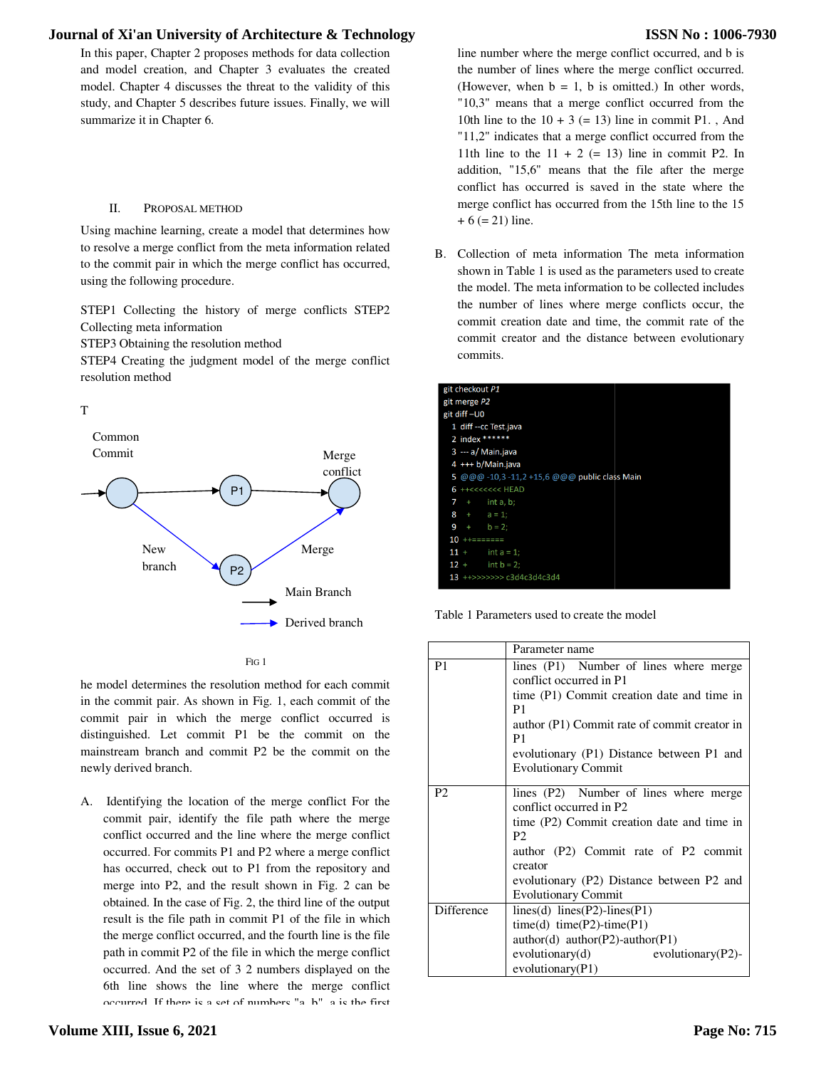In this paper, Chapter 2 proposes methods for data collection and model creation, and Chapter 3 evaluates the created model. Chapter 4 discusses the threat to the validity of this study, and Chapter 5 describes future issues. Finally, we will summarize it in Chapter 6.

### II. PROPOSAL METHOD

Using machine learning, create a model that determines how to resolve a merge conflict from the meta information related to the commit pair in which the merge conflict has occurred, using the following procedure.

STEP1 Collecting the history of merge conflicts STEP2 Collecting meta information

STEP3 Obtaining the resolution method

STEP4 Creating the judgment model of the merge conflict resolution method







he model determines the resolution method for each commit in the commit pair. As shown in Fig. 1, each commit of the commit pair in which the merge conflict occurred is distinguished. Let commit P1 be the commit on the mainstream branch and commit P2 be the commit on the newly derived branch.

A. Identifying the location of the merge conflict For the commit pair, identify the file path where the merge conflict occurred and the line where the merge conflict occurred. For commits P1 and P2 where a merge conflict has occurred, check out to P1 from the repository and merge into P2, and the result shown in Fig. 2 can be obtained. In the case of Fig. 2, the third line of the output result is the file path in commit P1 of the file in which the merge conflict occurred, and the fourth line is the file path in commit P2 of the file in which the merge conflict occurred. And the set of 3 2 numbers displayed on the 6th line shows the line where the merge conflict occurred. If there is a set of numbers "a, b", a is the first

# **ISSN No : 1006-7930**

| ds for data collection<br>valuates the created<br>o the validity of this<br>ues. Finally, we will |                                                                                                          | line number where the merge conflict occurred, and b is<br>the number of lines where the merge conflict occurred.<br>(However, when $b = 1$ , b is omitted.) In other words,<br>"10,3" means that a merge conflict occurred from the<br>10th line to the $10 + 3 (= 13)$ line in commit P1., And<br>"11,2" indicates that a merge conflict occurred from the<br>11th line to the $11 + 2$ (= 13) line in commit P2. In<br>addition, "15,6" means that the file after the merge<br>conflict has occurred is saved in the state where the |
|---------------------------------------------------------------------------------------------------|----------------------------------------------------------------------------------------------------------|-----------------------------------------------------------------------------------------------------------------------------------------------------------------------------------------------------------------------------------------------------------------------------------------------------------------------------------------------------------------------------------------------------------------------------------------------------------------------------------------------------------------------------------------|
| that determines how                                                                               |                                                                                                          | merge conflict has occurred from the 15th line to the 15<br>$+6 (= 21)$ line.                                                                                                                                                                                                                                                                                                                                                                                                                                                           |
| a information related<br>onflict has occurred,                                                    | В.                                                                                                       | Collection of meta information The meta information<br>shown in Table 1 is used as the parameters used to create<br>the model. The meta information to be collected includes                                                                                                                                                                                                                                                                                                                                                            |
| ge conflicts STEP2                                                                                |                                                                                                          | the number of lines where merge conflicts occur, the<br>commit creation date and time, the commit rate of the<br>commit creator and the distance between evolutionary                                                                                                                                                                                                                                                                                                                                                                   |
| f the merge conflict                                                                              |                                                                                                          | commits.                                                                                                                                                                                                                                                                                                                                                                                                                                                                                                                                |
| Merge<br>conflict<br>Merge<br>Main Branch                                                         | git checkout P1<br>git merge P2<br>git diff-U0<br>7<br>$+$<br>8<br>$\pm$<br>9<br>$+$<br>$11 +$<br>$12 +$ | 1 diff -- cc Test.java<br>2 index ******<br>3 --- a/ Main.java<br>4 +++ b/Main.java<br>5 @@@ -10,3 -11,2 +15,6 @@@ public class Main<br>6 ++<<<<<<<< HEAD<br>int a, b;<br>$a = 1;$<br>$b = 2;$<br>int $a = 1$ ;<br>$int b = 2;$<br>13 ++>>>>>>> c3d4c3d4c3d4                                                                                                                                                                                                                                                                            |
| Derived branch                                                                                    |                                                                                                          | Table 1 Parameters used to create the model                                                                                                                                                                                                                                                                                                                                                                                                                                                                                             |
|                                                                                                   |                                                                                                          | Parameter name                                                                                                                                                                                                                                                                                                                                                                                                                                                                                                                          |
| hod for each commit<br>coop commit of the                                                         | P <sub>1</sub>                                                                                           | lines (P1) Number of lines where merge<br>conflict occurred in P1<br>time (P1) Commit creation date and time in                                                                                                                                                                                                                                                                                                                                                                                                                         |

| is paper, Chapter 2 proposes methods for data collection<br>model creation, and Chapter 3 evaluates the created<br>el. Chapter 4 discusses the threat to the validity of this<br>y, and Chapter 5 describes future issues. Finally, we will<br>narize it in Chapter 6.                                                           |                                                         | line number where the merge conflict occurred, and b is<br>the number of lines where the merge conflict occurred.<br>(However, when $b = 1$ , b is omitted.) In other words,<br>"10,3" means that a merge conflict occurred from the<br>10th line to the $10 + 3 (= 13)$ line in commit P1., And<br>"11,2" indicates that a merge conflict occurred from the<br>11th line to the $11 + 2 (= 13)$ line in commit P2. In<br>addition, "15,6" means that the file after the merge<br>conflict has occurred is saved in the state where the |
|----------------------------------------------------------------------------------------------------------------------------------------------------------------------------------------------------------------------------------------------------------------------------------------------------------------------------------|---------------------------------------------------------|-----------------------------------------------------------------------------------------------------------------------------------------------------------------------------------------------------------------------------------------------------------------------------------------------------------------------------------------------------------------------------------------------------------------------------------------------------------------------------------------------------------------------------------------|
| П.<br>PROPOSAL METHOD<br>g machine learning, create a model that determines how                                                                                                                                                                                                                                                  | $+ 6 (= 21)$ line.                                      | merge conflict has occurred from the 15th line to the 15                                                                                                                                                                                                                                                                                                                                                                                                                                                                                |
| solve a merge conflict from the meta information related<br>e commit pair in which the merge conflict has occurred,<br>g the following procedure.<br>P1 Collecting the history of merge conflicts STEP2<br>ecting meta information<br>P3 Obtaining the resolution method<br>P4 Creating the judgment model of the merge conflict | В.<br>commits.                                          | Collection of meta information The meta information<br>shown in Table 1 is used as the parameters used to create<br>the model. The meta information to be collected includes<br>the number of lines where merge conflicts occur, the<br>commit creation date and time, the commit rate of the<br>commit creator and the distance between evolutionary                                                                                                                                                                                   |
| ution method                                                                                                                                                                                                                                                                                                                     | git checkout P1<br>git merge P2                         |                                                                                                                                                                                                                                                                                                                                                                                                                                                                                                                                         |
| ommon                                                                                                                                                                                                                                                                                                                            | git diff-U0<br>1 diff -- cc Test.java<br>2 index ****** |                                                                                                                                                                                                                                                                                                                                                                                                                                                                                                                                         |
| ommit<br>Merge                                                                                                                                                                                                                                                                                                                   | 3 --- a/ Main.java                                      |                                                                                                                                                                                                                                                                                                                                                                                                                                                                                                                                         |
| conflict                                                                                                                                                                                                                                                                                                                         | 4 +++ b/Main.java                                       |                                                                                                                                                                                                                                                                                                                                                                                                                                                                                                                                         |
|                                                                                                                                                                                                                                                                                                                                  |                                                         | 5 @@@ -10,3 -11,2 +15,6 @@@ public class Main                                                                                                                                                                                                                                                                                                                                                                                                                                                                                           |
| P1                                                                                                                                                                                                                                                                                                                               | 6 ++<<<<<<<< HEAD                                       | int a, b;                                                                                                                                                                                                                                                                                                                                                                                                                                                                                                                               |
|                                                                                                                                                                                                                                                                                                                                  | $a = 1;$<br>8                                           |                                                                                                                                                                                                                                                                                                                                                                                                                                                                                                                                         |
|                                                                                                                                                                                                                                                                                                                                  | $b = 2$ ;                                               |                                                                                                                                                                                                                                                                                                                                                                                                                                                                                                                                         |
|                                                                                                                                                                                                                                                                                                                                  | $10$ ++=======                                          |                                                                                                                                                                                                                                                                                                                                                                                                                                                                                                                                         |
| Merge<br><b>New</b>                                                                                                                                                                                                                                                                                                              | $11 +$                                                  | $int a = 1;$                                                                                                                                                                                                                                                                                                                                                                                                                                                                                                                            |
| branch<br>P <sub>2</sub>                                                                                                                                                                                                                                                                                                         | $12 +$                                                  | $int b = 2;$<br>13 ++>>>>>>> c3d4c3d4c3d4                                                                                                                                                                                                                                                                                                                                                                                                                                                                                               |
| Main Branch                                                                                                                                                                                                                                                                                                                      |                                                         |                                                                                                                                                                                                                                                                                                                                                                                                                                                                                                                                         |
| Derived branch                                                                                                                                                                                                                                                                                                                   |                                                         | Table 1 Parameters used to create the model                                                                                                                                                                                                                                                                                                                                                                                                                                                                                             |
|                                                                                                                                                                                                                                                                                                                                  |                                                         | Parameter name                                                                                                                                                                                                                                                                                                                                                                                                                                                                                                                          |
| FIG <sub>1</sub>                                                                                                                                                                                                                                                                                                                 | P <sub>1</sub>                                          | lines (P1) Number of lines where merge                                                                                                                                                                                                                                                                                                                                                                                                                                                                                                  |
|                                                                                                                                                                                                                                                                                                                                  |                                                         | conflict occurred in P1                                                                                                                                                                                                                                                                                                                                                                                                                                                                                                                 |
| nodel determines the resolution method for each commit                                                                                                                                                                                                                                                                           |                                                         | time (P1) Commit creation date and time in                                                                                                                                                                                                                                                                                                                                                                                                                                                                                              |
| e commit pair. As shown in Fig. 1, each commit of the                                                                                                                                                                                                                                                                            |                                                         | P <sub>1</sub>                                                                                                                                                                                                                                                                                                                                                                                                                                                                                                                          |
| mit pair in which the merge conflict occurred is                                                                                                                                                                                                                                                                                 |                                                         | author (P1) Commit rate of commit creator in                                                                                                                                                                                                                                                                                                                                                                                                                                                                                            |
| nguished. Let commit P1 be the commit on the                                                                                                                                                                                                                                                                                     |                                                         | P <sub>1</sub>                                                                                                                                                                                                                                                                                                                                                                                                                                                                                                                          |
| astream branch and commit P2 be the commit on the                                                                                                                                                                                                                                                                                |                                                         | evolutionary (P1) Distance between P1 and                                                                                                                                                                                                                                                                                                                                                                                                                                                                                               |
| ly derived branch.                                                                                                                                                                                                                                                                                                               |                                                         | <b>Evolutionary Commit</b>                                                                                                                                                                                                                                                                                                                                                                                                                                                                                                              |
|                                                                                                                                                                                                                                                                                                                                  | P <sub>2</sub>                                          | lines (P2) Number of lines where merge                                                                                                                                                                                                                                                                                                                                                                                                                                                                                                  |
| Identifying the location of the merge conflict For the                                                                                                                                                                                                                                                                           |                                                         | conflict occurred in P2                                                                                                                                                                                                                                                                                                                                                                                                                                                                                                                 |
| commit pair, identify the file path where the merge                                                                                                                                                                                                                                                                              |                                                         | time (P2) Commit creation date and time in                                                                                                                                                                                                                                                                                                                                                                                                                                                                                              |
| conflict occurred and the line where the merge conflict                                                                                                                                                                                                                                                                          |                                                         | P <sub>2</sub>                                                                                                                                                                                                                                                                                                                                                                                                                                                                                                                          |
| occurred. For commits P1 and P2 where a merge conflict                                                                                                                                                                                                                                                                           |                                                         | author (P2) Commit rate of P2 commit                                                                                                                                                                                                                                                                                                                                                                                                                                                                                                    |
| has occurred, check out to P1 from the repository and                                                                                                                                                                                                                                                                            |                                                         | creator                                                                                                                                                                                                                                                                                                                                                                                                                                                                                                                                 |
| merge into P2, and the result shown in Fig. 2 can be                                                                                                                                                                                                                                                                             |                                                         | evolutionary (P2) Distance between P2 and                                                                                                                                                                                                                                                                                                                                                                                                                                                                                               |
|                                                                                                                                                                                                                                                                                                                                  |                                                         | <b>Evolutionary Commit</b>                                                                                                                                                                                                                                                                                                                                                                                                                                                                                                              |
| obtained. In the case of Fig. 2, the third line of the output                                                                                                                                                                                                                                                                    | Difference                                              | lines(d) lines(P2)-lines(P1)                                                                                                                                                                                                                                                                                                                                                                                                                                                                                                            |
| result is the file path in commit P1 of the file in which                                                                                                                                                                                                                                                                        |                                                         | $time(d) time(P2)-time(P1)$                                                                                                                                                                                                                                                                                                                                                                                                                                                                                                             |
| the merge conflict occurred, and the fourth line is the file                                                                                                                                                                                                                                                                     |                                                         | author(d) author(P2)-author(P1)                                                                                                                                                                                                                                                                                                                                                                                                                                                                                                         |
| path in commit P2 of the file in which the merge conflict                                                                                                                                                                                                                                                                        |                                                         | evolutionary(d)<br>evolutionary $(P2)$ -                                                                                                                                                                                                                                                                                                                                                                                                                                                                                                |
| occurred. And the set of 3 2 numbers displayed on the                                                                                                                                                                                                                                                                            |                                                         | evolutionary(P1)                                                                                                                                                                                                                                                                                                                                                                                                                                                                                                                        |
| 6th line shows the line where the merge conflict                                                                                                                                                                                                                                                                                 |                                                         |                                                                                                                                                                                                                                                                                                                                                                                                                                                                                                                                         |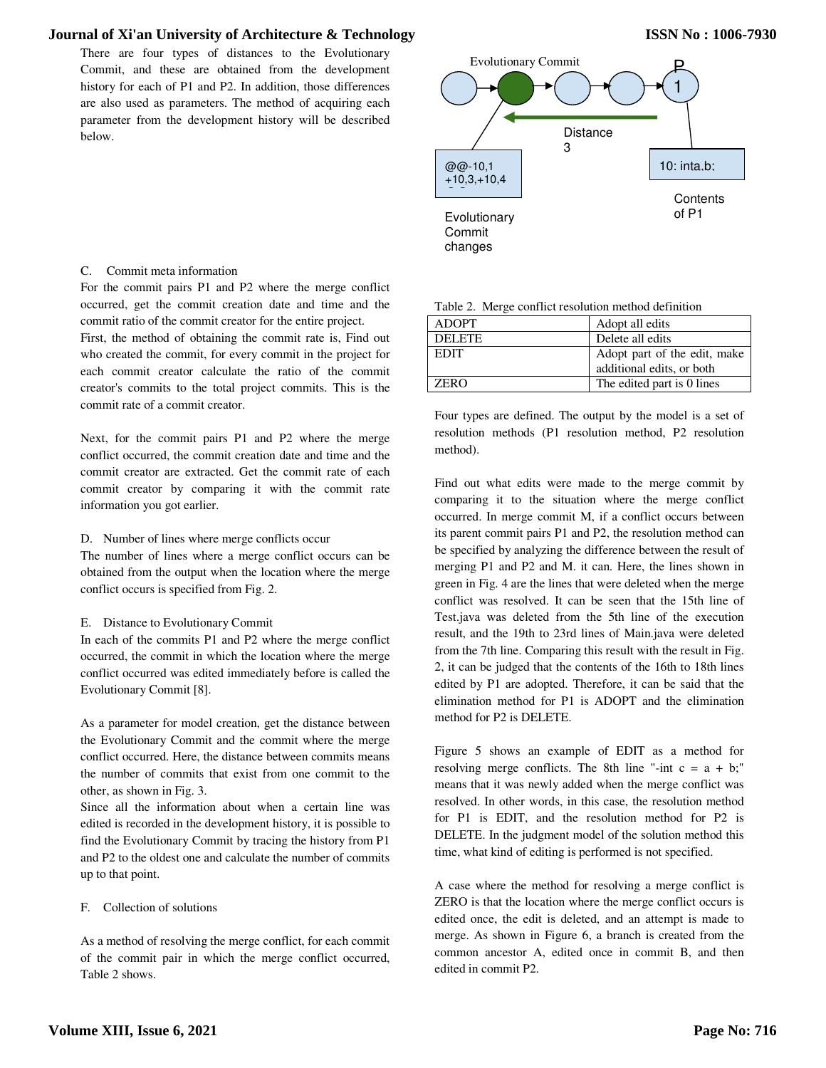There are four types of distances to the Evolutionary Commit, and these are obtained from the development history for each of P1 and P2. In addition, those differences are also used as parameters. The method of acquiring each parameter from the development history will be described below.



# C. Commit meta information

For the commit pairs P1 and P2 where the merge conflict occurred, get the commit creation date and time and the commit ratio of the commit creator for the entire project.

First, the method of obtaining the commit rate is, Find out who created the commit, for every commit in the project for each commit creator calculate the ratio of the commit creator's commits to the total project commits. This is the commit rate of a commit creator.

Next, for the commit pairs P1 and P2 where the merge conflict occurred, the commit creation date and time and the commit creator are extracted. Get the commit rate of each commit creator by comparing it with the commit rate information you got earlier.

D. Number of lines where merge conflicts occur

The number of lines where a merge conflict occurs can be obtained from the output when the location where the merge conflict occurs is specified from Fig. 2.

### E. Distance to Evolutionary Commit

In each of the commits P1 and P2 where the merge conflict occurred, the commit in which the location where the merge conflict occurred was edited immediately before is called the Evolutionary Commit [8].

As a parameter for model creation, get the distance between the Evolutionary Commit and the commit where the merge conflict occurred. Here, the distance between commits means the number of commits that exist from one commit to the other, as shown in Fig. 3.

Since all the information about when a certain line was edited is recorded in the development history, it is possible to find the Evolutionary Commit by tracing the history from P1 and P2 to the oldest one and calculate the number of commits up to that point.

### F. Collection of solutions

As a method of resolving the merge conflict, for each commit of the commit pair in which the merge conflict occurred, Table 2 shows.

| <b>ADOPT</b>  | Adopt all edits              |
|---------------|------------------------------|
| <b>DELETE</b> | Delete all edits             |
| <b>EDIT</b>   | Adopt part of the edit, make |
|               | additional edits, or both    |
| <b>ZERO</b>   | The edited part is 0 lines   |
|               |                              |

Four types are defined. The output by the model is a set of resolution methods (P1 resolution method, P2 resolution method).

Find out what edits were made to the merge commit by comparing it to the situation where the merge conflict occurred. In merge commit M, if a conflict occurs between its parent commit pairs P1 and P2, the resolution method can be specified by analyzing the difference between the result of merging P1 and P2 and M. it can. Here, the lines shown in green in Fig. 4 are the lines that were deleted when the merge conflict was resolved. It can be seen that the 15th line of Test.java was deleted from the 5th line of the execution result, and the 19th to 23rd lines of Main.java were deleted from the 7th line. Comparing this result with the result in Fig. 2, it can be judged that the contents of the 16th to 18th lines edited by P1 are adopted. Therefore, it can be said that the elimination method for P1 is ADOPT and the elimination method for P2 is DELETE.

Figure 5 shows an example of EDIT as a method for resolving merge conflicts. The 8th line "-int  $c = a + b$ ;" means that it was newly added when the merge conflict was resolved. In other words, in this case, the resolution method for P1 is EDIT, and the resolution method for P2 is DELETE. In the judgment model of the solution method this time, what kind of editing is performed is not specified.

A case where the method for resolving a merge conflict is ZERO is that the location where the merge conflict occurs is edited once, the edit is deleted, and an attempt is made to merge. As shown in Figure 6, a branch is created from the common ancestor A, edited once in commit B, and then edited in commit P2.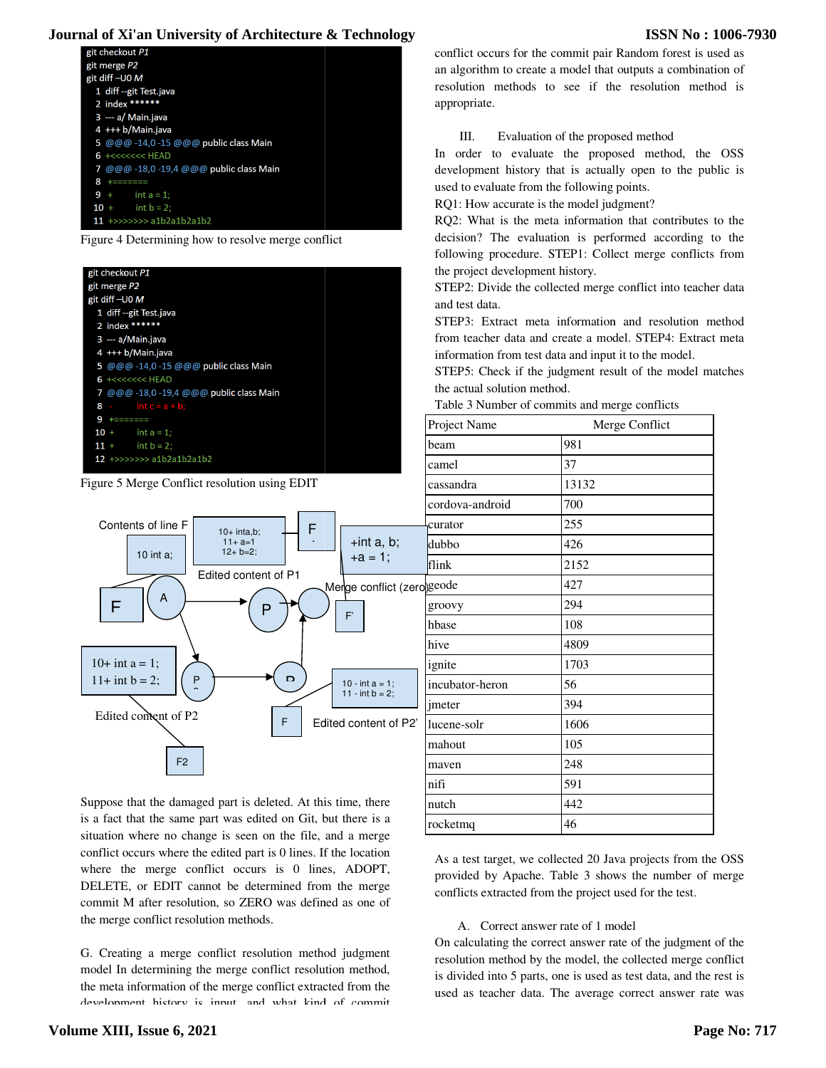### **ISSN No : 1006-7930**







| Journal of Xi'an University of Architecture & Technology                                                                                                                                                                                                                                                                                        |                                             | <b>ISSN No: 1006-</b>                                                                                                                                                                                                                                                                                                                                                                     |
|-------------------------------------------------------------------------------------------------------------------------------------------------------------------------------------------------------------------------------------------------------------------------------------------------------------------------------------------------|---------------------------------------------|-------------------------------------------------------------------------------------------------------------------------------------------------------------------------------------------------------------------------------------------------------------------------------------------------------------------------------------------------------------------------------------------|
| git checkout P1<br>git merge P2                                                                                                                                                                                                                                                                                                                 |                                             | conflict occurs for the commit pair Random forest is used as                                                                                                                                                                                                                                                                                                                              |
| git diff-U0 M                                                                                                                                                                                                                                                                                                                                   |                                             | an algorithm to create a model that outputs a combination of                                                                                                                                                                                                                                                                                                                              |
| 1 diff --git Test.java                                                                                                                                                                                                                                                                                                                          |                                             | resolution methods to see if the resolution method is                                                                                                                                                                                                                                                                                                                                     |
| 2 index ******<br>3 --- a/ Main.java                                                                                                                                                                                                                                                                                                            | appropriate.                                |                                                                                                                                                                                                                                                                                                                                                                                           |
| 4 +++ b/Main.java                                                                                                                                                                                                                                                                                                                               |                                             |                                                                                                                                                                                                                                                                                                                                                                                           |
| 5 @@@ -14,0 -15 @@@ public class Main                                                                                                                                                                                                                                                                                                           | Ш.                                          | Evaluation of the proposed method                                                                                                                                                                                                                                                                                                                                                         |
| 6 +<<<<<<<< HEAD                                                                                                                                                                                                                                                                                                                                |                                             | In order to evaluate the proposed method, the OSS                                                                                                                                                                                                                                                                                                                                         |
| 7 @@@ -18,0 -19,4 @@@ public class Main<br>8 +=======                                                                                                                                                                                                                                                                                           |                                             | development history that is actually open to the public is                                                                                                                                                                                                                                                                                                                                |
| $9+$<br>$int a = 1$ ;                                                                                                                                                                                                                                                                                                                           | used to evaluate from the following points. |                                                                                                                                                                                                                                                                                                                                                                                           |
| $int b = 2;$<br>$10 +$                                                                                                                                                                                                                                                                                                                          | RQ1: How accurate is the model judgment?    |                                                                                                                                                                                                                                                                                                                                                                                           |
| $11$ +>>>>>>> a1b2a1b2a1b2                                                                                                                                                                                                                                                                                                                      |                                             | RQ2: What is the meta information that contributes to the                                                                                                                                                                                                                                                                                                                                 |
| Figure 4 Determining how to resolve merge conflict                                                                                                                                                                                                                                                                                              |                                             | decision? The evaluation is performed according to the                                                                                                                                                                                                                                                                                                                                    |
|                                                                                                                                                                                                                                                                                                                                                 |                                             | following procedure. STEP1: Collect merge conflicts from                                                                                                                                                                                                                                                                                                                                  |
| git checkout P1<br>git merge P2                                                                                                                                                                                                                                                                                                                 | the project development history.            |                                                                                                                                                                                                                                                                                                                                                                                           |
| git diff-U0 M                                                                                                                                                                                                                                                                                                                                   |                                             | STEP2: Divide the collected merge conflict into teacher data                                                                                                                                                                                                                                                                                                                              |
| 1 diff --git Test.java                                                                                                                                                                                                                                                                                                                          | and test data.                              |                                                                                                                                                                                                                                                                                                                                                                                           |
| 2 index ******                                                                                                                                                                                                                                                                                                                                  |                                             | STEP3: Extract meta information and resolution method                                                                                                                                                                                                                                                                                                                                     |
| 3 --- a/Main.java<br>4 +++ b/Main.java                                                                                                                                                                                                                                                                                                          |                                             | from teacher data and create a model. STEP4: Extract meta                                                                                                                                                                                                                                                                                                                                 |
| 5 @@@ -14,0 -15 @@@ public class Main                                                                                                                                                                                                                                                                                                           |                                             | information from test data and input it to the model.                                                                                                                                                                                                                                                                                                                                     |
| 6 +<<<<<<<<<<<<                                                                                                                                                                                                                                                                                                                                 | the actual solution method.                 | STEP5: Check if the judgment result of the model matches                                                                                                                                                                                                                                                                                                                                  |
| 7 @@@ -18,0 -19,4 @@@ public class Main<br>$int c = a + b;$<br>$8 -$                                                                                                                                                                                                                                                                            |                                             | Table 3 Number of commits and merge conflicts                                                                                                                                                                                                                                                                                                                                             |
| $9 + = = = = = =$                                                                                                                                                                                                                                                                                                                               |                                             |                                                                                                                                                                                                                                                                                                                                                                                           |
| $10 +$<br>$int a = 1;$                                                                                                                                                                                                                                                                                                                          | Project Name                                | Merge Conflict                                                                                                                                                                                                                                                                                                                                                                            |
| $11 +$<br>$int b = 2;$                                                                                                                                                                                                                                                                                                                          | beam                                        | 981                                                                                                                                                                                                                                                                                                                                                                                       |
| 12 +>>>>>>> a1b2a1b2a1b2                                                                                                                                                                                                                                                                                                                        | camel                                       | 37                                                                                                                                                                                                                                                                                                                                                                                        |
| Figure 5 Merge Conflict resolution using EDIT                                                                                                                                                                                                                                                                                                   | cassandra                                   | 13132                                                                                                                                                                                                                                                                                                                                                                                     |
|                                                                                                                                                                                                                                                                                                                                                 | cordova-android                             | 700                                                                                                                                                                                                                                                                                                                                                                                       |
| Contents of line F                                                                                                                                                                                                                                                                                                                              | curator                                     | 255                                                                                                                                                                                                                                                                                                                                                                                       |
| F<br>$10+$ inta,b;<br>$+int a, b;$<br>$11 + a = 1$                                                                                                                                                                                                                                                                                              |                                             |                                                                                                                                                                                                                                                                                                                                                                                           |
| $12 + b = 2$ ;<br>10 int $a$ :<br>$+a = 1$ ;                                                                                                                                                                                                                                                                                                    | dubbo                                       | 426                                                                                                                                                                                                                                                                                                                                                                                       |
| Edited content of P1                                                                                                                                                                                                                                                                                                                            | flink                                       | 2152                                                                                                                                                                                                                                                                                                                                                                                      |
| Merge conflict (zero)geode                                                                                                                                                                                                                                                                                                                      |                                             | 427                                                                                                                                                                                                                                                                                                                                                                                       |
| A<br>F<br>P                                                                                                                                                                                                                                                                                                                                     | groovy                                      | 294                                                                                                                                                                                                                                                                                                                                                                                       |
| F'                                                                                                                                                                                                                                                                                                                                              | hbase                                       | 108                                                                                                                                                                                                                                                                                                                                                                                       |
|                                                                                                                                                                                                                                                                                                                                                 | hive                                        | 4809                                                                                                                                                                                                                                                                                                                                                                                      |
| $10+$ int a = 1;                                                                                                                                                                                                                                                                                                                                |                                             | 1703                                                                                                                                                                                                                                                                                                                                                                                      |
| D<br>$11+$ int $b = 2$ ;<br>P                                                                                                                                                                                                                                                                                                                   | ignite                                      |                                                                                                                                                                                                                                                                                                                                                                                           |
| 10 - int $a = 1$ ;<br>11 - $int b = 2$ ;                                                                                                                                                                                                                                                                                                        | incubator-heron                             | 56                                                                                                                                                                                                                                                                                                                                                                                        |
| Edited content of P2                                                                                                                                                                                                                                                                                                                            | jmeter                                      | 394                                                                                                                                                                                                                                                                                                                                                                                       |
| F<br>Edited content of P2'                                                                                                                                                                                                                                                                                                                      | lucene-solr                                 | 1606                                                                                                                                                                                                                                                                                                                                                                                      |
|                                                                                                                                                                                                                                                                                                                                                 | mahout                                      | 105                                                                                                                                                                                                                                                                                                                                                                                       |
| F <sub>2</sub>                                                                                                                                                                                                                                                                                                                                  | maven                                       | 248                                                                                                                                                                                                                                                                                                                                                                                       |
|                                                                                                                                                                                                                                                                                                                                                 | nifi                                        | 591                                                                                                                                                                                                                                                                                                                                                                                       |
|                                                                                                                                                                                                                                                                                                                                                 |                                             |                                                                                                                                                                                                                                                                                                                                                                                           |
| Suppose that the damaged part is deleted. At this time, there<br>is a fact that the same part was edited on Git, but there is a                                                                                                                                                                                                                 | nutch                                       | 442                                                                                                                                                                                                                                                                                                                                                                                       |
|                                                                                                                                                                                                                                                                                                                                                 | rocketmq                                    | 46                                                                                                                                                                                                                                                                                                                                                                                        |
|                                                                                                                                                                                                                                                                                                                                                 |                                             |                                                                                                                                                                                                                                                                                                                                                                                           |
| situation where no change is seen on the file, and a merge                                                                                                                                                                                                                                                                                      |                                             |                                                                                                                                                                                                                                                                                                                                                                                           |
|                                                                                                                                                                                                                                                                                                                                                 |                                             |                                                                                                                                                                                                                                                                                                                                                                                           |
|                                                                                                                                                                                                                                                                                                                                                 |                                             |                                                                                                                                                                                                                                                                                                                                                                                           |
|                                                                                                                                                                                                                                                                                                                                                 |                                             | conflicts extracted from the project used for the test.                                                                                                                                                                                                                                                                                                                                   |
|                                                                                                                                                                                                                                                                                                                                                 |                                             |                                                                                                                                                                                                                                                                                                                                                                                           |
|                                                                                                                                                                                                                                                                                                                                                 | A. Correct answer rate of 1 model           |                                                                                                                                                                                                                                                                                                                                                                                           |
|                                                                                                                                                                                                                                                                                                                                                 |                                             |                                                                                                                                                                                                                                                                                                                                                                                           |
| conflict occurs where the edited part is 0 lines. If the location<br>where the merge conflict occurs is 0 lines, ADOPT,<br>DELETE, or EDIT cannot be determined from the merge<br>commit M after resolution, so ZERO was defined as one of<br>the merge conflict resolution methods.<br>G. Creating a merge conflict resolution method judgment |                                             |                                                                                                                                                                                                                                                                                                                                                                                           |
| model In determining the merge conflict resolution method,<br>the meta information of the merge conflict extracted from the                                                                                                                                                                                                                     |                                             | As a test target, we collected 20 Java projects from the OSS<br>provided by Apache. Table 3 shows the number of merge<br>On calculating the correct answer rate of the judgment of the<br>resolution method by the model, the collected merge conflict<br>is divided into 5 parts, one is used as test data, and the rest is<br>used as teacher data. The average correct answer rate was |

### A. Correct answer rate of 1 model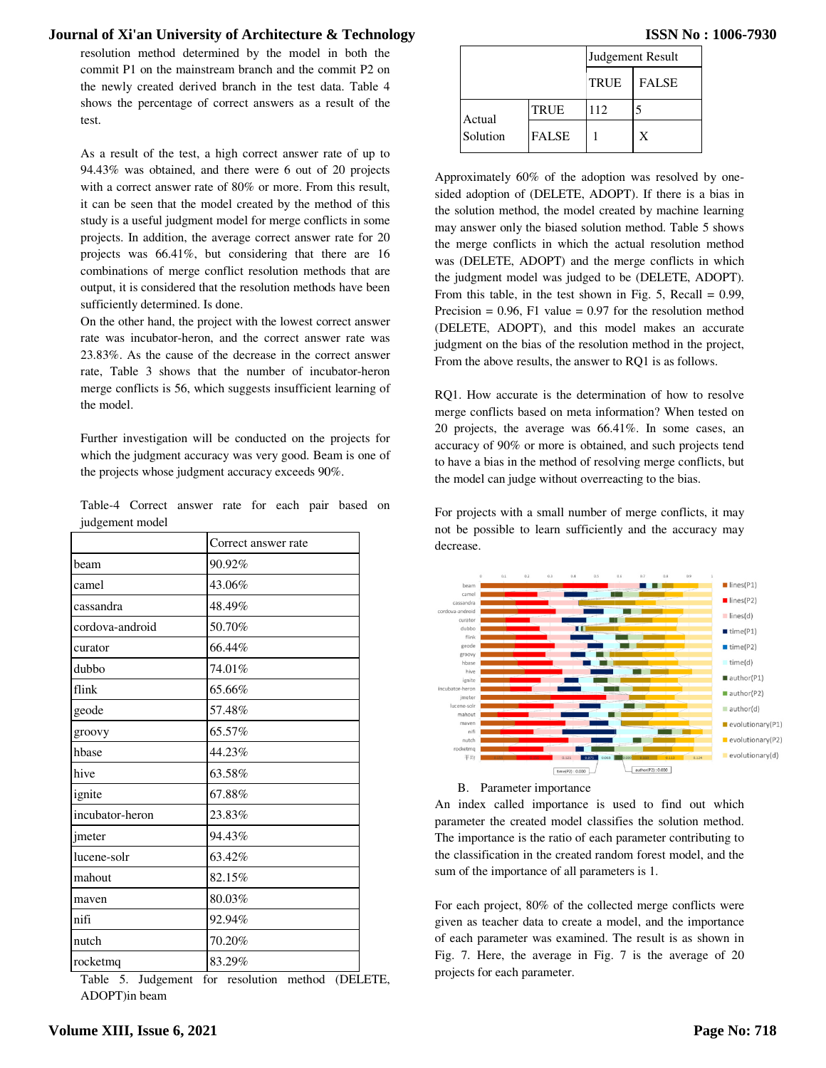|                 | Table-4 Correct answer rate for each pair based on |  |  |  |  |
|-----------------|----------------------------------------------------|--|--|--|--|
| judgement model |                                                    |  |  |  |  |

|                                                                                               | resolution method determined by the model in both the                                                                                                                                                                                                                                                                                                                                                                                                                                                                                                                                                                                                                                                                                                                                                                                                                                                                                                                                                                       | Journal of Xi'an University of Architecture & Technology |                                |                                                                                                                                                                                                                                                                                                                                                                                                                                                                                                                                                                                                                                                                                                                                                                                                                                                                                                           |              | <b>ISSN</b>       |
|-----------------------------------------------------------------------------------------------|-----------------------------------------------------------------------------------------------------------------------------------------------------------------------------------------------------------------------------------------------------------------------------------------------------------------------------------------------------------------------------------------------------------------------------------------------------------------------------------------------------------------------------------------------------------------------------------------------------------------------------------------------------------------------------------------------------------------------------------------------------------------------------------------------------------------------------------------------------------------------------------------------------------------------------------------------------------------------------------------------------------------------------|----------------------------------------------------------|--------------------------------|-----------------------------------------------------------------------------------------------------------------------------------------------------------------------------------------------------------------------------------------------------------------------------------------------------------------------------------------------------------------------------------------------------------------------------------------------------------------------------------------------------------------------------------------------------------------------------------------------------------------------------------------------------------------------------------------------------------------------------------------------------------------------------------------------------------------------------------------------------------------------------------------------------------|--------------|-------------------|
|                                                                                               | commit P1 on the mainstream branch and the commit P2 on                                                                                                                                                                                                                                                                                                                                                                                                                                                                                                                                                                                                                                                                                                                                                                                                                                                                                                                                                                     |                                                          |                                |                                                                                                                                                                                                                                                                                                                                                                                                                                                                                                                                                                                                                                                                                                                                                                                                                                                                                                           |              | Judgement Result  |
|                                                                                               | the newly created derived branch in the test data. Table 4                                                                                                                                                                                                                                                                                                                                                                                                                                                                                                                                                                                                                                                                                                                                                                                                                                                                                                                                                                  |                                                          |                                |                                                                                                                                                                                                                                                                                                                                                                                                                                                                                                                                                                                                                                                                                                                                                                                                                                                                                                           | <b>TRUE</b>  | <b>FALSE</b>      |
|                                                                                               | shows the percentage of correct answers as a result of the                                                                                                                                                                                                                                                                                                                                                                                                                                                                                                                                                                                                                                                                                                                                                                                                                                                                                                                                                                  |                                                          |                                | <b>TRUE</b>                                                                                                                                                                                                                                                                                                                                                                                                                                                                                                                                                                                                                                                                                                                                                                                                                                                                                               | 112          | 5                 |
| test.                                                                                         |                                                                                                                                                                                                                                                                                                                                                                                                                                                                                                                                                                                                                                                                                                                                                                                                                                                                                                                                                                                                                             |                                                          | Actual<br>Solution             | <b>FALSE</b>                                                                                                                                                                                                                                                                                                                                                                                                                                                                                                                                                                                                                                                                                                                                                                                                                                                                                              | $\mathbf{1}$ | X                 |
|                                                                                               | As a result of the test, a high correct answer rate of up to                                                                                                                                                                                                                                                                                                                                                                                                                                                                                                                                                                                                                                                                                                                                                                                                                                                                                                                                                                |                                                          |                                |                                                                                                                                                                                                                                                                                                                                                                                                                                                                                                                                                                                                                                                                                                                                                                                                                                                                                                           |              |                   |
| sufficiently determined. Is done.<br>the model.                                               | 94.43% was obtained, and there were 6 out of 20 projects<br>with a correct answer rate of 80% or more. From this result,<br>it can be seen that the model created by the method of this<br>study is a useful judgment model for merge conflicts in some<br>projects. In addition, the average correct answer rate for 20<br>projects was 66.41%, but considering that there are 16<br>combinations of merge conflict resolution methods that are<br>output, it is considered that the resolution methods have been<br>On the other hand, the project with the lowest correct answer<br>rate was incubator-heron, and the correct answer rate was<br>23.83%. As the cause of the decrease in the correct answer<br>rate, Table 3 shows that the number of incubator-heron<br>merge conflicts is 56, which suggests insufficient learning of<br>Further investigation will be conducted on the projects for<br>which the judgment accuracy was very good. Beam is one of<br>the projects whose judgment accuracy exceeds 90%. |                                                          |                                | Approximately 60% of the adoption was reso<br>sided adoption of (DELETE, ADOPT). If there<br>the solution method, the model created by mac<br>may answer only the biased solution method. T<br>the merge conflicts in which the actual resolu<br>was (DELETE, ADOPT) and the merge confli<br>the judgment model was judged to be (DELET<br>From this table, in the test shown in Fig. 5, R<br>Precision = $0.96$ , F1 value = $0.97$ for the resolv<br>(DELETE, ADOPT), and this model makes<br>judgment on the bias of the resolution method i<br>From the above results, the answer to RQ1 is as<br>RQ1. How accurate is the determination of ho<br>merge conflicts based on meta information? WI<br>20 projects, the average was 66.41%. In sor<br>accuracy of 90% or more is obtained, and such<br>to have a bias in the method of resolving merge<br>the model can judge without overreacting to the |              |                   |
|                                                                                               |                                                                                                                                                                                                                                                                                                                                                                                                                                                                                                                                                                                                                                                                                                                                                                                                                                                                                                                                                                                                                             |                                                          |                                |                                                                                                                                                                                                                                                                                                                                                                                                                                                                                                                                                                                                                                                                                                                                                                                                                                                                                                           |              |                   |
| judgement model                                                                               | Table-4 Correct answer rate for each pair based on<br>Correct answer rate                                                                                                                                                                                                                                                                                                                                                                                                                                                                                                                                                                                                                                                                                                                                                                                                                                                                                                                                                   |                                                          |                                | For projects with a small number of merge con<br>not be possible to learn sufficiently and the a                                                                                                                                                                                                                                                                                                                                                                                                                                                                                                                                                                                                                                                                                                                                                                                                          |              |                   |
|                                                                                               | 90.92%                                                                                                                                                                                                                                                                                                                                                                                                                                                                                                                                                                                                                                                                                                                                                                                                                                                                                                                                                                                                                      | decrease.                                                |                                |                                                                                                                                                                                                                                                                                                                                                                                                                                                                                                                                                                                                                                                                                                                                                                                                                                                                                                           |              |                   |
|                                                                                               | 43.06%                                                                                                                                                                                                                                                                                                                                                                                                                                                                                                                                                                                                                                                                                                                                                                                                                                                                                                                                                                                                                      |                                                          |                                |                                                                                                                                                                                                                                                                                                                                                                                                                                                                                                                                                                                                                                                                                                                                                                                                                                                                                                           |              |                   |
|                                                                                               | 48.49%                                                                                                                                                                                                                                                                                                                                                                                                                                                                                                                                                                                                                                                                                                                                                                                                                                                                                                                                                                                                                      | ordova-android                                           | came<br>cassandra              |                                                                                                                                                                                                                                                                                                                                                                                                                                                                                                                                                                                                                                                                                                                                                                                                                                                                                                           |              |                   |
|                                                                                               | 50.70%                                                                                                                                                                                                                                                                                                                                                                                                                                                                                                                                                                                                                                                                                                                                                                                                                                                                                                                                                                                                                      |                                                          | curato<br>dubbc                |                                                                                                                                                                                                                                                                                                                                                                                                                                                                                                                                                                                                                                                                                                                                                                                                                                                                                                           |              |                   |
|                                                                                               | 66.44%                                                                                                                                                                                                                                                                                                                                                                                                                                                                                                                                                                                                                                                                                                                                                                                                                                                                                                                                                                                                                      |                                                          | flink<br>geode<br>groovy       |                                                                                                                                                                                                                                                                                                                                                                                                                                                                                                                                                                                                                                                                                                                                                                                                                                                                                                           |              |                   |
|                                                                                               | 74.01%                                                                                                                                                                                                                                                                                                                                                                                                                                                                                                                                                                                                                                                                                                                                                                                                                                                                                                                                                                                                                      |                                                          | hbase<br>hive                  |                                                                                                                                                                                                                                                                                                                                                                                                                                                                                                                                                                                                                                                                                                                                                                                                                                                                                                           |              |                   |
|                                                                                               | 65.66%                                                                                                                                                                                                                                                                                                                                                                                                                                                                                                                                                                                                                                                                                                                                                                                                                                                                                                                                                                                                                      | incubator-heron                                          | ignite                         |                                                                                                                                                                                                                                                                                                                                                                                                                                                                                                                                                                                                                                                                                                                                                                                                                                                                                                           |              |                   |
|                                                                                               | 57.48%                                                                                                                                                                                                                                                                                                                                                                                                                                                                                                                                                                                                                                                                                                                                                                                                                                                                                                                                                                                                                      |                                                          | imete<br>lucene-soli<br>mahout |                                                                                                                                                                                                                                                                                                                                                                                                                                                                                                                                                                                                                                                                                                                                                                                                                                                                                                           |              |                   |
| beam<br>camel<br>cassandra<br>cordova-android<br>curator<br>dubbo<br>flink<br>geode<br>groovy | 65.57%                                                                                                                                                                                                                                                                                                                                                                                                                                                                                                                                                                                                                                                                                                                                                                                                                                                                                                                                                                                                                      |                                                          | maver<br>nif                   |                                                                                                                                                                                                                                                                                                                                                                                                                                                                                                                                                                                                                                                                                                                                                                                                                                                                                                           |              |                   |
|                                                                                               | 44.23%                                                                                                                                                                                                                                                                                                                                                                                                                                                                                                                                                                                                                                                                                                                                                                                                                                                                                                                                                                                                                      |                                                          | nutch<br>rocketma<br>平均        |                                                                                                                                                                                                                                                                                                                                                                                                                                                                                                                                                                                                                                                                                                                                                                                                                                                                                                           |              |                   |
|                                                                                               | 63.58%                                                                                                                                                                                                                                                                                                                                                                                                                                                                                                                                                                                                                                                                                                                                                                                                                                                                                                                                                                                                                      |                                                          |                                | time(P2): 0.000                                                                                                                                                                                                                                                                                                                                                                                                                                                                                                                                                                                                                                                                                                                                                                                                                                                                                           |              | author(P2): 0.000 |
|                                                                                               | 67.88%                                                                                                                                                                                                                                                                                                                                                                                                                                                                                                                                                                                                                                                                                                                                                                                                                                                                                                                                                                                                                      |                                                          |                                | B. Parameter importance                                                                                                                                                                                                                                                                                                                                                                                                                                                                                                                                                                                                                                                                                                                                                                                                                                                                                   |              |                   |
|                                                                                               | 23.83%                                                                                                                                                                                                                                                                                                                                                                                                                                                                                                                                                                                                                                                                                                                                                                                                                                                                                                                                                                                                                      |                                                          |                                | An index called importance is used to find                                                                                                                                                                                                                                                                                                                                                                                                                                                                                                                                                                                                                                                                                                                                                                                                                                                                |              |                   |
|                                                                                               | 94.43%                                                                                                                                                                                                                                                                                                                                                                                                                                                                                                                                                                                                                                                                                                                                                                                                                                                                                                                                                                                                                      |                                                          |                                | parameter the created model classifies the solu<br>The importance is the ratio of each parameter co                                                                                                                                                                                                                                                                                                                                                                                                                                                                                                                                                                                                                                                                                                                                                                                                       |              |                   |
|                                                                                               | 63.42%                                                                                                                                                                                                                                                                                                                                                                                                                                                                                                                                                                                                                                                                                                                                                                                                                                                                                                                                                                                                                      |                                                          |                                | the classification in the created random forest m                                                                                                                                                                                                                                                                                                                                                                                                                                                                                                                                                                                                                                                                                                                                                                                                                                                         |              |                   |
| hbase<br>hive<br>ignite<br>incubator-heron<br>imeter<br>lucene-solr<br>mahout                 | 82.15%                                                                                                                                                                                                                                                                                                                                                                                                                                                                                                                                                                                                                                                                                                                                                                                                                                                                                                                                                                                                                      |                                                          |                                | sum of the importance of all parameters is 1.                                                                                                                                                                                                                                                                                                                                                                                                                                                                                                                                                                                                                                                                                                                                                                                                                                                             |              |                   |
| maven                                                                                         | 80.03%                                                                                                                                                                                                                                                                                                                                                                                                                                                                                                                                                                                                                                                                                                                                                                                                                                                                                                                                                                                                                      |                                                          |                                |                                                                                                                                                                                                                                                                                                                                                                                                                                                                                                                                                                                                                                                                                                                                                                                                                                                                                                           |              |                   |
| nifi                                                                                          | 92.94%                                                                                                                                                                                                                                                                                                                                                                                                                                                                                                                                                                                                                                                                                                                                                                                                                                                                                                                                                                                                                      |                                                          |                                | For each project, 80% of the collected merge c<br>given as teacher data to create a model, and th                                                                                                                                                                                                                                                                                                                                                                                                                                                                                                                                                                                                                                                                                                                                                                                                         |              |                   |
| nutch                                                                                         | 70.20%                                                                                                                                                                                                                                                                                                                                                                                                                                                                                                                                                                                                                                                                                                                                                                                                                                                                                                                                                                                                                      |                                                          |                                | of each parameter was examined. The result is<br>Fig. 7. Here, the average in Fig. 7 is the av                                                                                                                                                                                                                                                                                                                                                                                                                                                                                                                                                                                                                                                                                                                                                                                                            |              |                   |

Table 5. Judgement for resolution method (DELETE, ADOPT)in beam

|  | <b>ISSN No: 1006-7930</b> |
|--|---------------------------|
|  |                           |

|          |              | Judgement Result |              |
|----------|--------------|------------------|--------------|
|          |              | <b>TRUE</b>      | <b>FALSE</b> |
| Actual   | <b>TRUE</b>  | 112              |              |
| Solution | <b>FALSE</b> |                  | X            |

Approximately 60% of the adoption was resolved by onesided adoption of (DELETE, ADOPT). If there is a bias in the solution method, the model created by machine learning may answer only the biased solution method. Table 5 shows the merge conflicts in which the actual resolution method was (DELETE, ADOPT) and the merge conflicts in which the judgment model was judged to be (DELETE, ADOPT). From this table, in the test shown in Fig. 5, Recall  $= 0.99$ , Precision =  $0.96$ , F1 value =  $0.97$  for the resolution method (DELETE, ADOPT), and this model makes an accurate judgment on the bias of the resolution method in the project, From the above results, the answer to RQ1 is as follows. sided adoption of (DELETE, ADOPT). If there is a bias in<br>the solution method, the model created by machine learning<br>may answer only the biased solution method. Table 5 shows<br>the merge conflicts in which the actual resoluti

RQ1. How accurate is the determination of how to resolve merge conflicts based on meta information? When tested on 20 projects, the average was 66.41%. In some cases, an accuracy of 90% or more is obtained, and such projects te to have a bias in the method of resolving merge conflicts, but the model can judge without overreacting to the bias.

For projects with a small number of merge conflicts, it may not be possible to learn sufficiently and the accuracy may decrease.





An index called importance is used to find out which parameter the created model classifies the solution method. The importance is the ratio of each parameter contributing to the classification in the created random forest model, and sum of the importance of all parameters is 1.

For each project, 80% of the collected merge conflicts were given as teacher data to create a model, and the importance of each parameter was examined. The result is as shown in Fig. 7. Here, the average in Fig. 7 is the average of 20 projects for each parameter.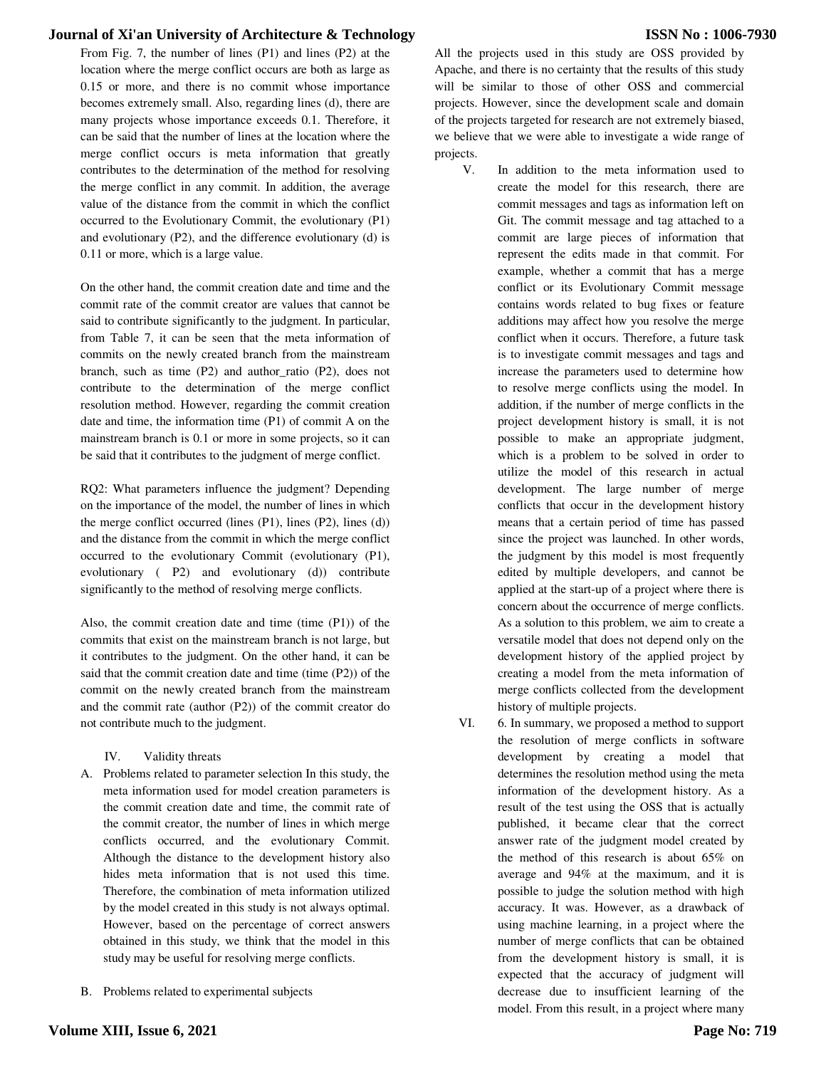From Fig. 7, the number of lines (P1) and lines (P2) at the location where the merge conflict occurs are both as large as 0.15 or more, and there is no commit whose importance becomes extremely small. Also, regarding lines (d), there are many projects whose importance exceeds 0.1. Therefore, it can be said that the number of lines at the location where the merge conflict occurs is meta information that greatly contributes to the determination of the method for resolving the merge conflict in any commit. In addition, the average value of the distance from the commit in which the conflict occurred to the Evolutionary Commit, the evolutionary (P1) and evolutionary (P2), and the difference evolutionary (d) is 0.11 or more, which is a large value.

On the other hand, the commit creation date and time and the commit rate of the commit creator are values that cannot be said to contribute significantly to the judgment. In particular, from Table 7, it can be seen that the meta information of commits on the newly created branch from the mainstream branch, such as time (P2) and author\_ratio (P2), does not contribute to the determination of the merge conflict resolution method. However, regarding the commit creation date and time, the information time (P1) of commit A on the mainstream branch is 0.1 or more in some projects, so it can be said that it contributes to the judgment of merge conflict.

RQ2: What parameters influence the judgment? Depending on the importance of the model, the number of lines in which the merge conflict occurred (lines (P1), lines (P2), lines (d)) and the distance from the commit in which the merge conflict occurred to the evolutionary Commit (evolutionary (P1), evolutionary ( P2) and evolutionary (d)) contribute significantly to the method of resolving merge conflicts.

Also, the commit creation date and time (time (P1)) of the commits that exist on the mainstream branch is not large, but it contributes to the judgment. On the other hand, it can be said that the commit creation date and time (time (P2)) of the commit on the newly created branch from the mainstream and the commit rate (author (P2)) of the commit creator do not contribute much to the judgment.

IV. Validity threats

- A. Problems related to parameter selection In this study, the meta information used for model creation parameters is the commit creation date and time, the commit rate of the commit creator, the number of lines in which merge conflicts occurred, and the evolutionary Commit. Although the distance to the development history also hides meta information that is not used this time. Therefore, the combination of meta information utilized by the model created in this study is not always optimal. However, based on the percentage of correct answers obtained in this study, we think that the model in this study may be useful for resolving merge conflicts.
- B. Problems related to experimental subjects

All the projects used in this study are OSS provided by Apache, and there is no certainty that the results of this study will be similar to those of other OSS and commercial projects. However, since the development scale and domain of the projects targeted for research are not extremely biased, we believe that we were able to investigate a wide range of projects.

- V. In addition to the meta information used to create the model for this research, there are commit messages and tags as information left on Git. The commit message and tag attached to a commit are large pieces of information that represent the edits made in that commit. For example, whether a commit that has a merge conflict or its Evolutionary Commit message contains words related to bug fixes or feature additions may affect how you resolve the merge conflict when it occurs. Therefore, a future task is to investigate commit messages and tags and increase the parameters used to determine how to resolve merge conflicts using the model. In addition, if the number of merge conflicts in the project development history is small, it is not possible to make an appropriate judgment, which is a problem to be solved in order to utilize the model of this research in actual development. The large number of merge conflicts that occur in the development history means that a certain period of time has passed since the project was launched. In other words, the judgment by this model is most frequently edited by multiple developers, and cannot be applied at the start-up of a project where there is concern about the occurrence of merge conflicts. As a solution to this problem, we aim to create a versatile model that does not depend only on the development history of the applied project by creating a model from the meta information of merge conflicts collected from the development history of multiple projects.
- VI. 6. In summary, we proposed a method to support the resolution of merge conflicts in software development by creating a model that determines the resolution method using the meta information of the development history. As a result of the test using the OSS that is actually published, it became clear that the correct answer rate of the judgment model created by the method of this research is about 65% on average and 94% at the maximum, and it is possible to judge the solution method with high accuracy. It was. However, as a drawback of using machine learning, in a project where the number of merge conflicts that can be obtained from the development history is small, it is expected that the accuracy of judgment will decrease due to insufficient learning of the model. From this result, in a project where many